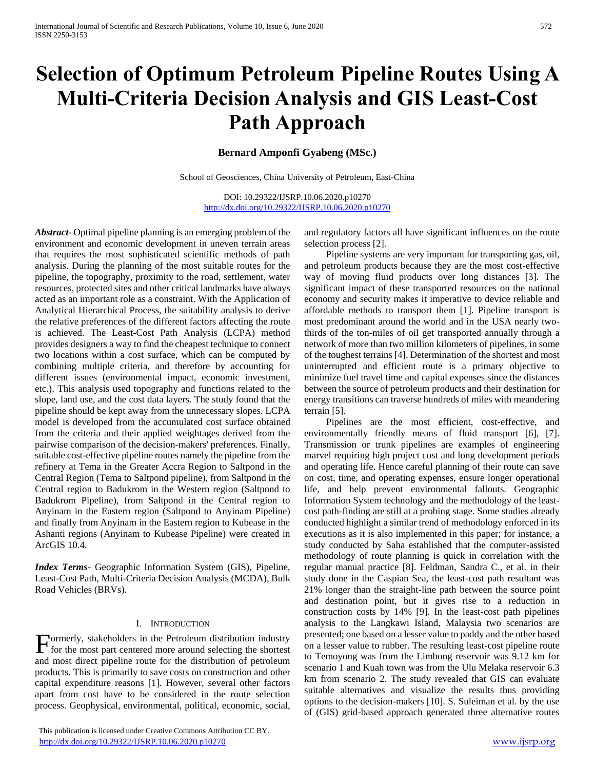# **Selection of Optimum Petroleum Pipeline Routes Using A Multi-Criteria Decision Analysis and GIS Least-Cost Path Approach**

# **Bernard Amponfi Gyabeng (MSc.)**

School of Geosciences, China University of Petroleum, East-China

DOI: 10.29322/IJSRP.10.06.2020.p10270 <http://dx.doi.org/10.29322/IJSRP.10.06.2020.p10270>

*Abstract***-** Optimal pipeline planning is an emerging problem of the environment and economic development in uneven terrain areas that requires the most sophisticated scientific methods of path analysis. During the planning of the most suitable routes for the pipeline, the topography, proximity to the road, settlement, water resources, protected sites and other critical landmarks have always acted as an important role as a constraint. With the Application of Analytical Hierarchical Process, the suitability analysis to derive the relative preferences of the different factors affecting the route is achieved. The Least-Cost Path Analysis (LCPA) method provides designers a way to find the cheapest technique to connect two locations within a cost surface, which can be computed by combining multiple criteria, and therefore by accounting for different issues (environmental impact, economic investment, etc.). This analysis used topography and functions related to the slope, land use, and the cost data layers. The study found that the pipeline should be kept away from the unnecessary slopes. LCPA model is developed from the accumulated cost surface obtained from the criteria and their applied weightages derived from the pairwise comparison of the decision-makers' preferences. Finally, suitable cost-effective pipeline routes namely the pipeline from the refinery at Tema in the Greater Accra Region to Saltpond in the Central Region (Tema to Saltpond pipeline), from Saltpond in the Central region to Badukrom in the Western region (Saltpond to Badukrom Pipeline), from Saltpond in the Central region to Anyinam in the Eastern region (Saltpond to Anyinam Pipeline) and finally from Anyinam in the Eastern region to Kubease in the Ashanti regions (Anyinam to Kubease Pipeline) were created in ArcGIS 10.4.

*Index Terms*- Geographic Information System (GIS), Pipeline, Least-Cost Path, Multi-Criteria Decision Analysis (MCDA), Bulk Road Vehicles (BRVs).

# I. INTRODUCTION

ormerly, stakeholders in the Petroleum distribution industry Formerly, stakeholders in the Petroleum distribution industry<br>for the most part centered more around selecting the shortest and most direct pipeline route for the distribution of petroleum products. This is primarily to save costs on construction and other capital expenditure reasons [1]. However, several other factors apart from cost have to be considered in the route selection process. Geophysical, environmental, political, economic, social,

 This publication is licensed under Creative Commons Attribution CC BY. <http://dx.doi.org/10.29322/IJSRP.10.06.2020.p10270> [www.ijsrp.org](http://ijsrp.org/)

and regulatory factors all have significant influences on the route selection process [2].

 Pipeline systems are very important for transporting gas, oil, and petroleum products because they are the most cost-effective way of moving fluid products over long distances [3]. The significant impact of these transported resources on the national economy and security makes it imperative to device reliable and affordable methods to transport them [1]. Pipeline transport is most predominant around the world and in the USA nearly twothirds of the ton-miles of oil get transported annually through a network of more than two million kilometers of pipelines, in some of the toughest terrains [4]. Determination of the shortest and most uninterrupted and efficient route is a primary objective to minimize fuel travel time and capital expenses since the distances between the source of petroleum products and their destination for energy transitions can traverse hundreds of miles with meandering terrain [5].

 Pipelines are the most efficient, cost-effective, and environmentally friendly means of fluid transport [6], [7]. Transmission or trunk pipelines are examples of engineering marvel requiring high project cost and long development periods and operating life. Hence careful planning of their route can save on cost, time, and operating expenses, ensure longer operational life, and help prevent environmental fallouts. Geographic Information System technology and the methodology of the leastcost path-finding are still at a probing stage. Some studies already conducted highlight a similar trend of methodology enforced in its executions as it is also implemented in this paper; for instance, a study conducted by Saha established that the computer-assisted methodology of route planning is quick in correlation with the regular manual practice [8]. Feldman, Sandra C., et al. in their study done in the Caspian Sea, the least-cost path resultant was 21% longer than the straight-line path between the source point and destination point, but it gives rise to a reduction in construction costs by 14% [9]. In the least-cost path pipelines analysis to the Langkawi Island, Malaysia two scenarios are presented; one based on a lesser value to paddy and the other based on a lesser value to rubber. The resulting least-cost pipeline route to Temoyong was from the Limbong reservoir was 9.12 km for scenario 1 and Kuah town was from the Ulu Melaka reservoir 6.3 km from scenario 2. The study revealed that GIS can evaluate suitable alternatives and visualize the results thus providing options to the decision-makers [10]. S. Suleiman et al. by the use of (GIS) grid-based approach generated three alternative routes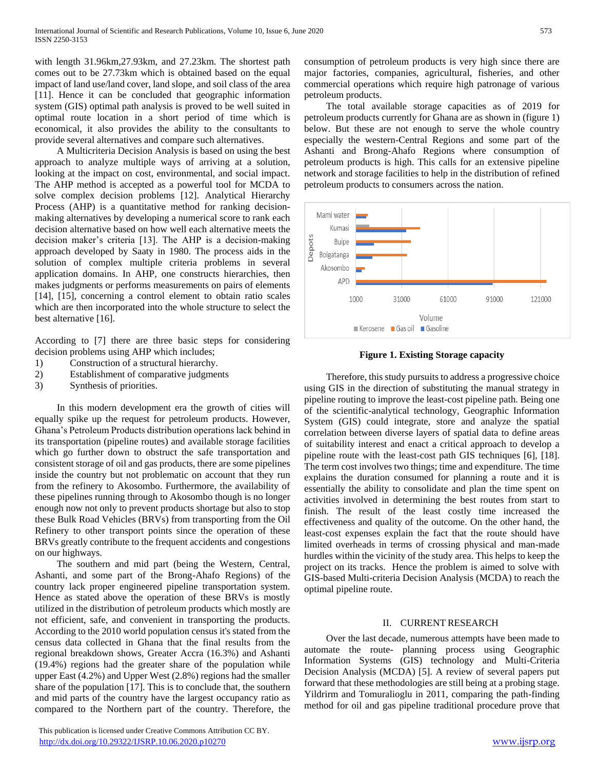with length 31.96km,27.93km, and 27.23km. The shortest path comes out to be 27.73km which is obtained based on the equal impact of land use/land cover, land slope, and soil class of the area [11]. Hence it can be concluded that geographic information system (GIS) optimal path analysis is proved to be well suited in optimal route location in a short period of time which is economical, it also provides the ability to the consultants to provide several alternatives and compare such alternatives.

 A Multicriteria Decision Analysis is based on using the best approach to analyze multiple ways of arriving at a solution, looking at the impact on cost, environmental, and social impact. The AHP method is accepted as a powerful tool for MCDA to solve complex decision problems [12]. Analytical Hierarchy Process (AHP) is a quantitative method for ranking decisionmaking alternatives by developing a numerical score to rank each decision alternative based on how well each alternative meets the decision maker's criteria [13]. The AHP is a decision-making approach developed by Saaty in 1980. The process aids in the solution of complex multiple criteria problems in several application domains. In AHP, one constructs hierarchies, then makes judgments or performs measurements on pairs of elements [14], [15], concerning a control element to obtain ratio scales which are then incorporated into the whole structure to select the best alternative [16].

According to [7] there are three basic steps for considering decision problems using AHP which includes;

- 1) Construction of a structural hierarchy.
- 2) Establishment of comparative judgments
- 3) Synthesis of priorities.

 In this modern development era the growth of cities will equally spike up the request for petroleum products. However, Ghana's Petroleum Products distribution operations lack behind in its transportation (pipeline routes) and available storage facilities which go further down to obstruct the safe transportation and consistent storage of oil and gas products, there are some pipelines inside the country but not problematic on account that they run from the refinery to Akosombo. Furthermore, the availability of these pipelines running through to Akosombo though is no longer enough now not only to prevent products shortage but also to stop these Bulk Road Vehicles (BRVs) from transporting from the Oil Refinery to other transport points since the operation of these BRVs greatly contribute to the frequent accidents and congestions on our highways.

 The southern and mid part (being the Western, Central, Ashanti, and some part of the Brong-Ahafo Regions) of the country lack proper engineered pipeline transportation system. Hence as stated above the operation of these BRVs is mostly utilized in the distribution of petroleum products which mostly are not efficient, safe, and convenient in transporting the products. According to the 2010 world population census it's stated from the census data collected in Ghana that the final results from the regional breakdown shows, Greater Accra (16.3%) and Ashanti (19.4%) regions had the greater share of the population while upper East (4.2%) and Upper West (2.8%) regions had the smaller share of the population [17]. This is to conclude that, the southern and mid parts of the country have the largest occupancy ratio as compared to the Northern part of the country. Therefore, the

 This publication is licensed under Creative Commons Attribution CC BY. <http://dx.doi.org/10.29322/IJSRP.10.06.2020.p10270> [www.ijsrp.org](http://ijsrp.org/)

consumption of petroleum products is very high since there are major factories, companies, agricultural, fisheries, and other commercial operations which require high patronage of various petroleum products.

 The total available storage capacities as of 2019 for petroleum products currently for Ghana are as shown in (figure 1) below. But these are not enough to serve the whole country especially the western-Central Regions and some part of the Ashanti and Brong-Ahafo Regions where consumption of petroleum products is high. This calls for an extensive pipeline network and storage facilities to help in the distribution of refined petroleum products to consumers across the nation.



**Figure 1. Existing Storage capacity**

 Therefore, this study pursuits to address a progressive choice using GIS in the direction of substituting the manual strategy in pipeline routing to improve the least-cost pipeline path. Being one of the scientific-analytical technology, Geographic Information System (GIS) could integrate, store and analyze the spatial correlation between diverse layers of spatial data to define areas of suitability interest and enact a critical approach to develop a pipeline route with the least-cost path GIS techniques [6], [18]. The term cost involves two things; time and expenditure. The time explains the duration consumed for planning a route and it is essentially the ability to consolidate and plan the time spent on activities involved in determining the best routes from start to finish. The result of the least costly time increased the effectiveness and quality of the outcome. On the other hand, the least-cost expenses explain the fact that the route should have limited overheads in terms of crossing physical and man-made hurdles within the vicinity of the study area. This helps to keep the project on its tracks. Hence the problem is aimed to solve with GIS-based Multi-criteria Decision Analysis (MCDA) to reach the optimal pipeline route.

#### II. CURRENT RESEARCH

 Over the last decade, numerous attempts have been made to automate the route- planning process using Geographic Information Systems (GIS) technology and Multi-Criteria Decision Analysis (MCDA) [5]. A review of several papers put forward that these methodologies are still being at a probing stage. Yildrirm and Tomuralioglu in 2011, comparing the path-finding method for oil and gas pipeline traditional procedure prove that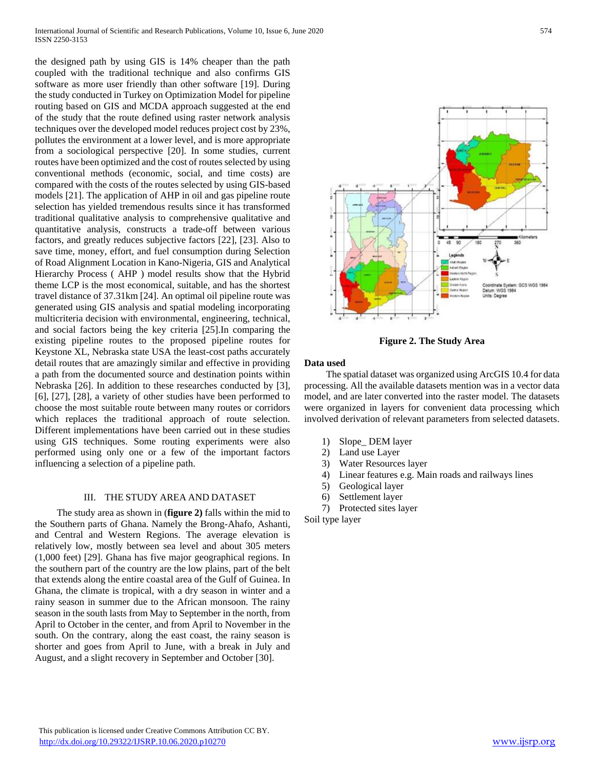the designed path by using GIS is 14% cheaper than the path coupled with the traditional technique and also confirms GIS software as more user friendly than other software [19]. During the study conducted in Turkey on Optimization Model for pipeline routing based on GIS and MCDA approach suggested at the end of the study that the route defined using raster network analysis techniques over the developed model reduces project cost by 23%, pollutes the environment at a lower level, and is more appropriate from a sociological perspective [20]. In some studies, current routes have been optimized and the cost of routes selected by using conventional methods (economic, social, and time costs) are compared with the costs of the routes selected by using GIS-based models [21]. The application of AHP in oil and gas pipeline route selection has yielded tremendous results since it has transformed traditional qualitative analysis to comprehensive qualitative and quantitative analysis, constructs a trade-off between various factors, and greatly reduces subjective factors [22], [23]. Also to save time, money, effort, and fuel consumption during Selection of Road Alignment Location in Kano-Nigeria, GIS and Analytical Hierarchy Process ( AHP ) model results show that the Hybrid theme LCP is the most economical, suitable, and has the shortest travel distance of 37.31km [24]. An optimal oil pipeline route was generated using GIS analysis and spatial modeling incorporating multicriteria decision with environmental, engineering, technical, and social factors being the key criteria [25].In comparing the existing pipeline routes to the proposed pipeline routes for Keystone XL, Nebraska state USA the least-cost paths accurately detail routes that are amazingly similar and effective in providing a path from the documented source and destination points within Nebraska [26]. In addition to these researches conducted by [3], [6], [27], [28], a variety of other studies have been performed to choose the most suitable route between many routes or corridors which replaces the traditional approach of route selection. Different implementations have been carried out in these studies using GIS techniques. Some routing experiments were also performed using only one or a few of the important factors influencing a selection of a pipeline path.

### III. THE STUDY AREA AND DATASET

 The study area as shown in (**figure 2)** falls within the mid to the Southern parts of Ghana. Namely the Brong-Ahafo, Ashanti, and Central and Western Regions. The average elevation is relatively low, mostly between sea level and about 305 meters (1,000 feet) [29]. Ghana has five major geographical regions. In the southern part of the country are the low plains, part of the belt that extends along the entire coastal area of the Gulf of Guinea. In Ghana, the climate is tropical, with a dry season in winter and a rainy season in summer due to the African monsoon. The rainy season in the south lasts from May to September in the north, from April to October in the center, and from April to November in the south. On the contrary, along the east coast, the rainy season is shorter and goes from April to June, with a break in July and August, and a slight recovery in September and October [30].



**Figure 2. The Study Area**

#### **Data used**

 The spatial dataset was organized using ArcGIS 10.4 for data processing. All the available datasets mention was in a vector data model, and are later converted into the raster model. The datasets were organized in layers for convenient data processing which involved derivation of relevant parameters from selected datasets.

- 1) Slope\_ DEM layer
- 2) Land use Layer
- 3) Water Resources layer
- 4) Linear features e.g. Main roads and railways lines
- 5) Geological layer
- 6) Settlement layer
- 7) Protected sites layer

Soil type layer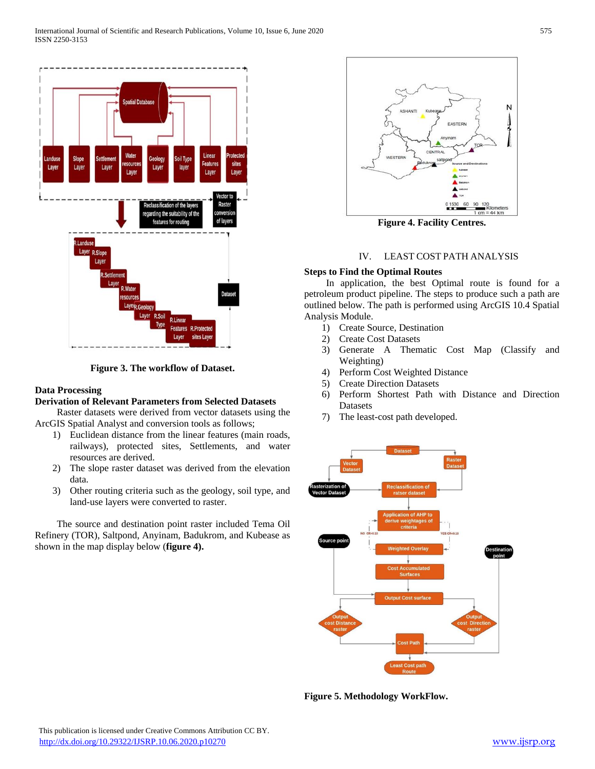

**Figure 3. The workflow of Dataset.**

# **Data Processing**

# **Derivation of Relevant Parameters from Selected Datasets**

 Raster datasets were derived from vector datasets using the ArcGIS Spatial Analyst and conversion tools as follows;

- 1) Euclidean distance from the linear features (main roads, railways), protected sites, Settlements, and water resources are derived.
- 2) The slope raster dataset was derived from the elevation data.
- 3) Other routing criteria such as the geology, soil type, and land-use layers were converted to raster.

 The source and destination point raster included Tema Oil Refinery (TOR), Saltpond, Anyinam, Badukrom, and Kubease as shown in the map display below (**figure 4).**



**Figure 4. Facility Centres.**

# IV. LEAST COST PATH ANALYSIS

## **Steps to Find the Optimal Routes**

 In application, the best Optimal route is found for a petroleum product pipeline. The steps to produce such a path are outlined below. The path is performed using ArcGIS 10.4 Spatial Analysis Module.

- 1) Create Source, Destination
- 2) Create Cost Datasets
- 3) Generate A Thematic Cost Map (Classify and Weighting)
- 4) Perform Cost Weighted Distance
- 5) Create Direction Datasets
- 6) Perform Shortest Path with Distance and Direction Datasets
- 7) The least-cost path developed.



**Figure 5. Methodology WorkFlow.**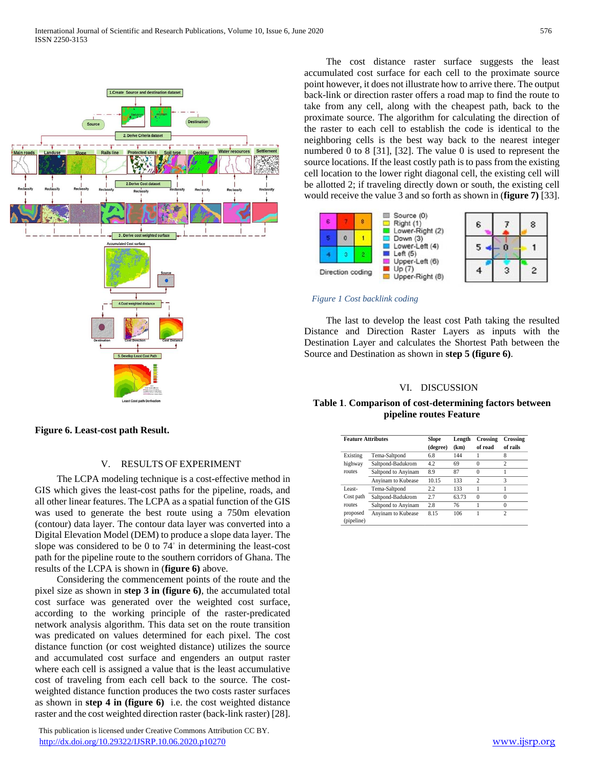

 The cost distance raster surface suggests the least accumulated cost surface for each cell to the proximate source point however, it does not illustrate how to arrive there. The output back-link or direction raster offers a road map to find the route to take from any cell, along with the cheapest path, back to the proximate source. The algorithm for calculating the direction of the raster to each cell to establish the code is identical to the neighboring cells is the best way back to the nearest integer numbered 0 to 8 [31], [32]. The value 0 is used to represent the source locations. If the least costly path is to pass from the existing cell location to the lower right diagonal cell, the existing cell will be allotted 2; if traveling directly down or south, the existing cell would receive the value 3 and so forth as shown in (**figure 7)** [33].



#### *Figure 1 Cost backlink coding*

 The last to develop the least cost Path taking the resulted Distance and Direction Raster Layers as inputs with the Destination Layer and calculates the Shortest Path between the Source and Destination as shown in **step 5 (figure 6)**.

#### VI. DISCUSSION

# **Table 1**. **Comparison of cost-determining factors between pipeline routes Feature**

**Figure 6. Least-cost path Result.**

# V. RESULTS OF EXPERIMENT

 The LCPA modeling technique is a cost-effective method in GIS which gives the least-cost paths for the pipeline, roads, and all other linear features. The LCPA as a spatial function of the GIS was used to generate the best route using a 750m elevation (contour) data layer. The contour data layer was converted into a Digital Elevation Model (DEM) to produce a slope data layer. The slope was considered to be 0 to 74° in determining the least-cost path for the pipeline route to the southern corridors of Ghana. The results of the LCPA is shown in (**figure 6)** above.

 Considering the commencement points of the route and the pixel size as shown in **step 3 in (figure 6)**, the accumulated total cost surface was generated over the weighted cost surface, according to the working principle of the raster-predicated network analysis algorithm. This data set on the route transition was predicated on values determined for each pixel. The cost distance function (or cost weighted distance) utilizes the source and accumulated cost surface and engenders an output raster where each cell is assigned a value that is the least accumulative cost of traveling from each cell back to the source. The costweighted distance function produces the two costs raster surfaces as shown in **step 4 in (figure 6)** i.e. the cost weighted distance raster and the cost weighted direction raster (back-link raster) [28].

 This publication is licensed under Creative Commons Attribution CC BY. <http://dx.doi.org/10.29322/IJSRP.10.06.2020.p10270> [www.ijsrp.org](http://ijsrp.org/)

**Feature Attributes Slope (degree) Length (km) Crossing of road Crossing of rails** Existing highway routes Tema-Saltpond 6.8 144 1 8 Saltpond-Badukrom 4.2 69 0 Saltpond to Anyinam 8.9 87 0 Anyinam to Kubease 10.15 133 Least-Cost path routes proposed (pipeline) Tema-Saltpond 2.2 133 1 1 Saltpond-Badukrom 2.7 63.73 0 0 Saltpond to Anyinam 2.8 76 1 0 Anyinam to Kubease 8.15 106 1 2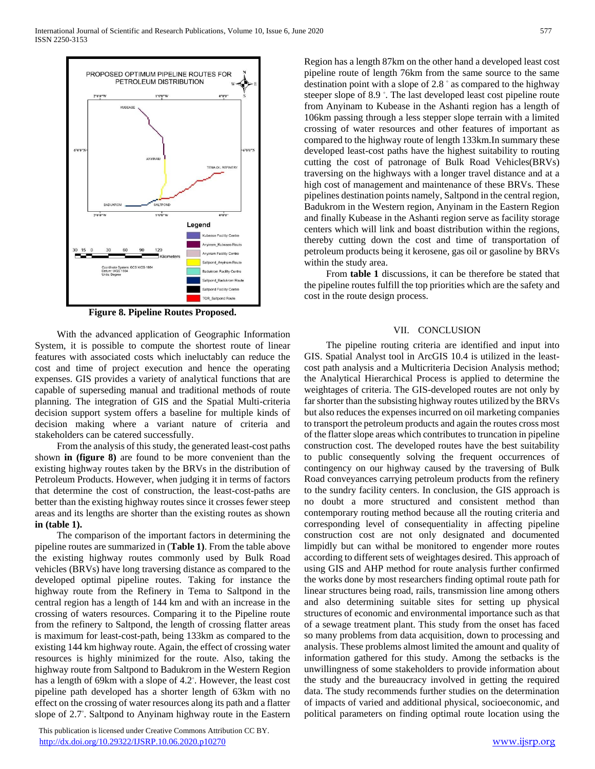

**Figure 8. Pipeline Routes Proposed.**

 With the advanced application of Geographic Information System, it is possible to compute the shortest route of linear features with associated costs which ineluctably can reduce the cost and time of project execution and hence the operating expenses. GIS provides a variety of analytical functions that are capable of superseding manual and traditional methods of route planning. The integration of GIS and the Spatial Multi-criteria decision support system offers a baseline for multiple kinds of decision making where a variant nature of criteria and stakeholders can be catered successfully.

 From the analysis of this study, the generated least-cost paths shown **in (figure 8)** are found to be more convenient than the existing highway routes taken by the BRVs in the distribution of Petroleum Products. However, when judging it in terms of factors that determine the cost of construction, the least-cost-paths are better than the existing highway routes since it crosses fewer steep areas and its lengths are shorter than the existing routes as shown **in (table 1).**

 The comparison of the important factors in determining the pipeline routes are summarized in (**Table 1)**. From the table above the existing highway routes commonly used by Bulk Road vehicles (BRVs) have long traversing distance as compared to the developed optimal pipeline routes. Taking for instance the highway route from the Refinery in Tema to Saltpond in the central region has a length of 144 km and with an increase in the crossing of waters resources. Comparing it to the Pipeline route from the refinery to Saltpond, the length of crossing flatter areas is maximum for least-cost-path, being 133km as compared to the existing 144 km highway route. Again, the effect of crossing water resources is highly minimized for the route. Also, taking the highway route from Saltpond to Badukrom in the Western Region has a length of 69km with a slope of 4.2◦ . However, the least cost pipeline path developed has a shorter length of 63km with no effect on the crossing of water resources along its path and a flatter slope of 2.7◦ . Saltpond to Anyinam highway route in the Eastern

 This publication is licensed under Creative Commons Attribution CC BY. <http://dx.doi.org/10.29322/IJSRP.10.06.2020.p10270> [www.ijsrp.org](http://ijsrp.org/)

Region has a length 87km on the other hand a developed least cost pipeline route of length 76km from the same source to the same destination point with a slope of 2.8 ◦ as compared to the highway steeper slope of 8.9 °. The last developed least cost pipeline route from Anyinam to Kubease in the Ashanti region has a length of 106km passing through a less stepper slope terrain with a limited crossing of water resources and other features of important as compared to the highway route of length 133km.In summary these developed least-cost paths have the highest suitability to routing cutting the cost of patronage of Bulk Road Vehicles(BRVs) traversing on the highways with a longer travel distance and at a high cost of management and maintenance of these BRVs. These pipelines destination points namely, Saltpond in the central region, Badukrom in the Western region, Anyinam in the Eastern Region and finally Kubease in the Ashanti region serve as facility storage centers which will link and boast distribution within the regions, thereby cutting down the cost and time of transportation of petroleum products being it kerosene, gas oil or gasoline by BRVs within the study area.

 From **table 1** discussions, it can be therefore be stated that the pipeline routes fulfill the top priorities which are the safety and cost in the route design process.

#### VII. CONCLUSION

 The pipeline routing criteria are identified and input into GIS. Spatial Analyst tool in ArcGIS 10.4 is utilized in the leastcost path analysis and a Multicriteria Decision Analysis method; the Analytical Hierarchical Process is applied to determine the weightages of criteria. The GIS-developed routes are not only by far shorter than the subsisting highway routes utilized by the BRVs but also reduces the expenses incurred on oil marketing companies to transport the petroleum products and again the routes cross most of the flatter slope areas which contributes to truncation in pipeline construction cost. The developed routes have the best suitability to public consequently solving the frequent occurrences of contingency on our highway caused by the traversing of Bulk Road conveyances carrying petroleum products from the refinery to the sundry facility centers. In conclusion, the GIS approach is no doubt a more structured and consistent method than contemporary routing method because all the routing criteria and corresponding level of consequentiality in affecting pipeline construction cost are not only designated and documented limpidly but can withal be monitored to engender more routes according to different sets of weightages desired. This approach of using GIS and AHP method for route analysis further confirmed the works done by most researchers finding optimal route path for linear structures being road, rails, transmission line among others and also determining suitable sites for setting up physical structures of economic and environmental importance such as that of a sewage treatment plant. This study from the onset has faced so many problems from data acquisition, down to processing and analysis. These problems almost limited the amount and quality of information gathered for this study. Among the setbacks is the unwillingness of some stakeholders to provide information about the study and the bureaucracy involved in getting the required data. The study recommends further studies on the determination of impacts of varied and additional physical, socioeconomic, and political parameters on finding optimal route location using the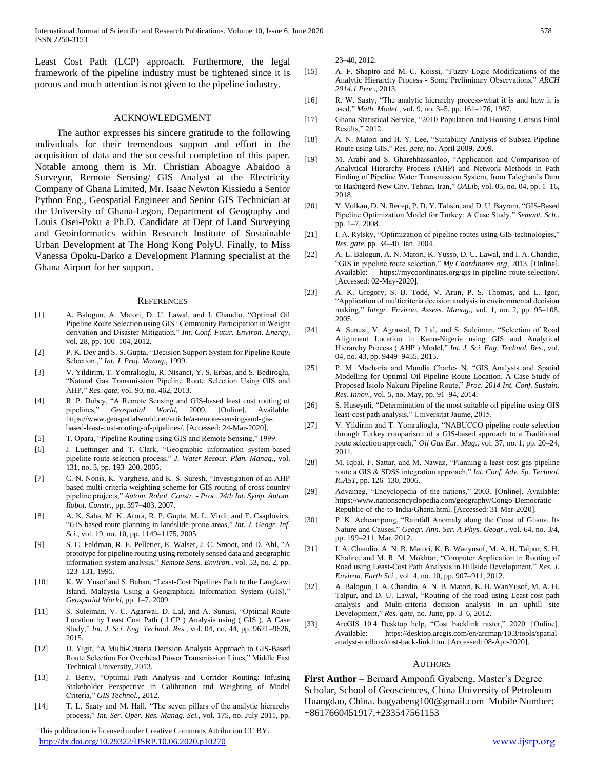Least Cost Path (LCP) approach. Furthermore, the legal framework of the pipeline industry must be tightened since it is porous and much attention is not given to the pipeline industry.

### ACKNOWLEDGMENT

 The author expresses his sincere gratitude to the following individuals for their tremendous support and effort in the acquisition of data and the successful completion of this paper. Notable among them is Mr. Christian Aboagye Abaidoo a Surveyor, Remote Sensing/ GIS Analyst at the Electricity Company of Ghana Limited, Mr. Isaac Newton Kissiedu a Senior Python Eng., Geospatial Engineer and Senior GIS Technician at the University of Ghana-Legon, Department of Geography and Louis Osei-Poku a Ph.D. Candidate at Dept of Land Surveying and Geoinformatics within Research Institute of Sustainable Urban Development at The Hong Kong PolyU. Finally, to Miss Vanessa Opoku-Darko a Development Planning specialist at the Ghana Airport for her support.

#### **REFERENCES**

- [1] A. Balogun, A. Matori, D. U. Lawal, and I. Chandio, "Optimal Oil Pipeline Route Selection using GIS : Community Participation in Weight derivation and Disaster Mitigation," *Int. Conf. Futur. Environ. Energy*, vol. 28, pp. 100–104, 2012.
- [2] P. K. Dey and S. S. Gupta, "Decision Support System for Pipeline Route Selection.," *Int. J. Proj. Manag.*, 1999.
- [3] V. Yildirim, T. Yomralioglu, R. Nisanci, Y. S. Erbas, and S. Bediroglu, "Natural Gas Transmission Pipeline Route Selection Using GIS and AHP," *Res. gate*, vol. 90, no. 462, 2013.
- [4] R. P. Dubey, "A Remote Sensing and GIS-based least cost routing of pipelines," *Geospatial World*, 2009. [Online]. Available: https://www.geospatialworld.net/article/a-remote-sensing-and-gisbased-least-cost-routing-of-pipelines/. [Accessed: 24-Mar-2020].
- [5] T. Opara, "Pipeline Routing using GIS and Remote Sensing," 1999.
- [6] J. Luettinger and T. Clark, "Geographic information system-based pipeline route selection process," *J. Water Resour. Plan. Manag.*, vol. 131, no. 3, pp. 193–200, 2005.
- [7] C.-N. Nonis, K. Varghese, and K. S. Suresh, "Investigation of an AHP based multi-criteria weighting scheme for GIS routing of cross country pipeline projects," *Autom. Robot. Constr. - Proc. 24th Int. Symp. Autom. Robot. Constr.*, pp. 397–403, 2007.
- [8] A. K. Saha, M. K. Arora, R. P. Gupta, M. L. Virdi, and E. Csaplovics, "GIS-based route planning in landslide-prone areas," *Int. J. Geogr. Inf. Sci.*, vol. 19, no. 10, pp. 1149–1175, 2005.
- [9] S. C. Feldman, R. E. Pelletier, E. Walser, J. C. Smoot, and D. Ahl, "A prototype for pipeline routing using remotely sensed data and geographic information system analysis," *Remote Sens. Environ.*, vol. 53, no. 2, pp. 123–131, 1995.
- [10] K. W. Yusof and S. Baban, "Least-Cost Pipelines Path to the Langkawi Island, Malaysia Using a Geographical Information System (GIS)," *Geospatial World*, pp. 1–7, 2009.
- [11] S. Suleiman, V. C. Agarwal, D. Lal, and A. Sunusi, "Optimal Route Location by Least Cost Path ( LCP ) Analysis using ( GIS ), A Case Study," *Int. J. Sci. Eng. Technol. Res.*, vol. 04, no. 44, pp. 9621–9626, 2015.
- [12] D. Yigit, "A Multi-Criteria Decision Analysis Approach to GIS-Based Route Selection For Overhead Power Transmission Lines," Middle East Technical University, 2013.
- [13] J. Berry, "Optimal Path Analysis and Corridor Routing: Infusing Stakeholder Perspective in Calibration and Weighting of Model Criteria," *GIS Technol.*, 2012.
- [14] T. L. Saaty and M. Hall, "The seven pillars of the analytic hierarchy process," *Int. Ser. Oper. Res. Manag. Sci.*, vol. 175, no. July 2011, pp.

 This publication is licensed under Creative Commons Attribution CC BY. <http://dx.doi.org/10.29322/IJSRP.10.06.2020.p10270> [www.ijsrp.org](http://ijsrp.org/)

23–40, 2012.

- [15] A. F. Shapiro and M.-C. Koissi, "Fuzzy Logic Modifications of the Analytic Hierarchy Process - Some Preliminary Observations," *ARCH 2014.1 Proc.*, 2013.
- [16] R. W. Saaty, "The analytic hierarchy process-what it is and how it is used," *Math. Model.*, vol. 9, no. 3–5, pp. 161–176, 1987.
- [17] Ghana Statistical Service, "2010 Population and Housing Census Final Results," 2012.
- [18] A. N. Matori and H. Y. Lee, "Suitability Analysis of Subsea Pipeline Route using GIS," *Res. gate*, no. April 2009, 2009.
- [19] M. Arabi and S. Gharehhassanloo, "Application and Comparison of Analytical Hierarchy Process (AHP) and Network Methods in Path Finding of Pipeline Water Transmission System, from Taleghan's Dam to Hashtgerd New City, Tehran, Iran," *OALib*, vol. 05, no. 04, pp. 1–16, 2018.
- [20] Y. Volkan, D. N. Recep, P. D. Y. Tahsin, and D. U. Bayram, "GIS-Based Pipeline Optimization Model for Turkey: A Case Study," *Semant. Sch.*, pp. 1–7, 2008.
- [21] I. A. Rylsky, "Optimization of pipeline routes using GIS-technologies," *Res. gate*, pp. 34–40, Jan. 2004.
- [22] A.-L. Balogun, A. N. Matori, K. Yusso, D. U. Lawal, and I. A. Chandio, "GIS in pipeline route selection," *My Coordinates org*, 2013. [Online]. Available: https://mycoordinates.org/gis-in-pipeline-route-selection/. [Accessed: 02-May-2020].
- [23] A. K. Gregory, S. B. Todd, V. Arun, P. S. Thomas, and L. Igor, "Application of multicriteria decision analysis in environmental decision making," *Integr. Environ. Assess. Manag.*, vol. 1, no. 2, pp. 95–108, 2005.
- [24] A. Sunusi, V. Agrawal, D. Lal, and S. Suleiman, "Selection of Road Alignment Location in Kano-Nigeria using GIS and Analytical Hierarchy Process ( AHP ) Model," *Int. J. Sci. Eng. Technol. Res.*, vol. 04, no. 43, pp. 9449–9455, 2015.
- [25] P. M. Macharia and Mundia Charles N, "GIS Analysis and Spatial Modelling for Optimal Oil Pipeline Route Location. A Case Study of Proposed Isiolo Nakuru Pipeline Route," *Proc. 2014 Int. Conf. Sustain. Res. Innov.*, vol. 5, no. May, pp. 91–94, 2014.
- [26] S. Huseynli, "Determination of the most suitable oil pipeline using GIS least-cost path analysis," Universitat Jaume, 2015.
- [27] V. Yildirim and T. Yomralioglu, "NABUCCO pipeline route selection through Turkey comparison of a GIS-based approach to a Traditional route selection approach," *Oil Gas Eur. Mag.*, vol. 37, no. 1, pp. 20–24, 2011.
- [28] M. Iqbal, F. Sattar, and M. Nawaz, "Planning a least-cost gas pipeline route a GIS & SDSS integration approach," *Int. Conf. Adv. Sp. Technol. ICAST*, pp. 126–130, 2006.
- [29] Advameg, "Encyclopedia of the nations," 2003. [Online]. Available: https://www.nationsencyclopedia.com/geography/Congo-Democratic-Republic-of-the-to-India/Ghana.html. [Accessed: 31-Mar-2020].
- [30] P. K. Acheampong, "Rainfall Anomaly along the Coast of Ghana. Its Nature and Causes," *Geogr. Ann. Ser. A Phys. Geogr.*, vol. 64, no. 3/4, pp. 199–211, Mar. 2012.
- [31] I. A. Chandio, A. N. B. Matori, K. B. Wanyusof, M. A. H. Talpur, S. H. Khahro, and M. R. M. Mokhtar, "Computer Application in Routing of Road using Least-Cost Path Analysis in Hillside Development," *Res. J. Environ. Earth Sci.*, vol. 4, no. 10, pp. 907–911, 2012.
- [32] A. Balogun, I. A. Chandio, A. N. B. Matori, K. B. WanYusof, M. A. H. Talpur, and D. U. Lawal, "Routing of the road using Least-cost path analysis and Multi-criteria decision analysis in an uphill site Development," *Res. gate*, no. June, pp. 3–6, 2012.
- [33] ArcGIS 10.4 Desktop help, "Cost backlink raster," 2020. [Online]. Available: https://desktop.arcgis.com/en/arcmap/10.3/tools/spatialanalyst-toolbox/cost-back-link.htm. [Accessed: 08-Apr-2020].

#### **AUTHORS**

**First Author** – Bernard Amponfi Gyabeng, Master's Degree Scholar, School of Geosciences, China University of Petroleum Huangdao, China. bagyabeng100@gmail.com Mobile Number: +8617660451917,+233547561153